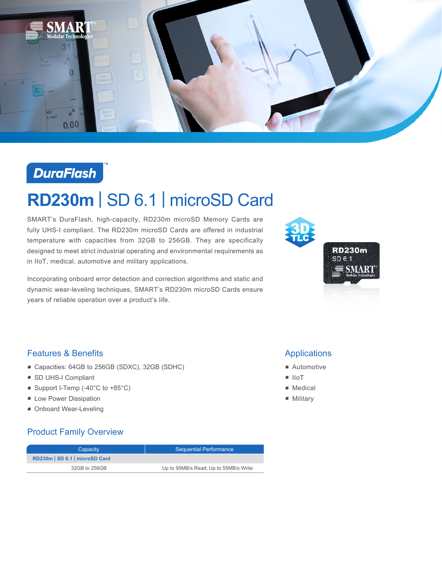



# **RD230m** | SD 6.1 | microSD Card

SMART's DuraFlash, high-capacity, RD230m microSD Memory Cards are fully UHS-I compliant. The RD230m microSD Cards are offered in industrial temperature with capacities from 32GB to 256GB. They are specifically designed to meet strict industrial operating and environmental requirements as in IIoT, medical, automotive and military applications.

Incorporating onboard error detection and correction algorithms and static and dynamic wear-leveling techniques, SMART's RD230m microSD Cards ensure years of reliable operation over a product's life.



#### Features & Benefits

- Capacities: 64GB to 256GB (SDXC), 32GB (SDHC)
- SD UHS-I Compliant
- Support I-Temp (-40°C to +85°C)
- **E** Low Power Dissipation
- Onboard Wear-Leveling

#### Product Family Overview

| Capacity                     | <b>Sequential Performance</b>         |
|------------------------------|---------------------------------------|
| RD230m SD 6.1   microSD Card |                                       |
| 32GB to 256GB                | Up to 95MB/s Read; Up to 55MB/s Write |

### **Applications**

- Automotive
- IIoT
- Medical
- Military